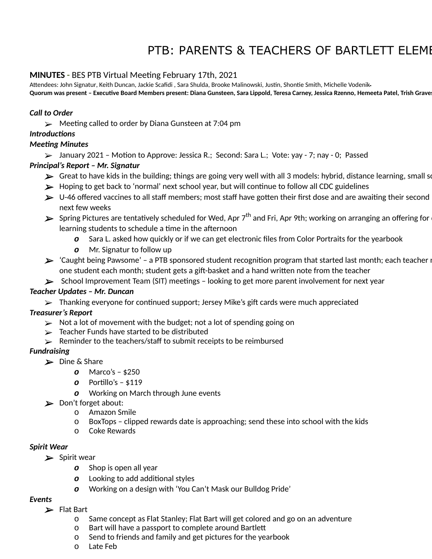## PTB: PARENTS & TEACHERS OF BARTLETT ELEME

#### **MINUTES** - BES PTB Virtual Meeting February 17th, 2021

Attendees: John Signatur, Keith Duncan, Jackie Scafidi, Sara Shulda, Brooke Malinowski, Justin, Shontie Smith, Michelle Vodenik-Quorum was present - Executive Board Members present: Diana Gunsteen, Sara Lippold, Teresa Carney, Jessica Rzenno, Hemeeta Patel, Trish Grave

#### *Call to Order*

 $\triangleright$  Meeting called to order by Diana Gunsteen at 7:04 pm

#### *Introductions*

#### *Meeting Minutes*

 $\triangleright$  January 2021 - Motion to Approve: Jessica R.; Second: Sara L.; Vote: yay - 7; nay - 0; Passed

#### *Principal's Report – Mr. Signatur*

- $\blacktriangleright$  Great to have kids in the building; things are going very well with all 3 models: hybrid, distance learning, small sc
- $\blacktriangleright$  Hoping to get back to 'normal' next school year, but will continue to follow all CDC guidelines
- $\blacktriangleright$  U-46 offered vaccines to all staff members; most staff have gotten their first dose and are awaiting their second next few weeks
- $\blacktriangleright$  Spring Pictures are tentatively scheduled for Wed, Apr 7<sup>th</sup> and Fri, Apr 9th; working on arranging an offering for  $\cdot$ learning students to schedule a time in the afternoon
	- *o* Sara L. asked how quickly or if we can get electronic files from Color Portraits for the yearbook
	- *o* Mr. Signatur to follow up
- $\blacktriangleright$  'Caught being Pawsome' a PTB sponsored student recognition program that started last month; each teacher  $\mathsf n$ one student each month; student gets a gift-basket and a hand written note from the teacher
- $\blacktriangleright$  School Improvement Team (SIT) meetings looking to get more parent involvement for next year

#### *Teacher Updates – Mr. Duncan*

 $\triangleright$  Thanking everyone for continued support; Jersey Mike's gift cards were much appreciated

#### *Treasurer's Report*

- $\triangleright$  Not a lot of movement with the budget; not a lot of spending going on
- $\triangleright$  Teacher Funds have started to be distributed
- $\triangleright$  Reminder to the teachers/staff to submit receipts to be reimbursed

#### *Fundraising*

- ➢ Dine & Share
	- *o* Marco's \$250
	- *o* Portillo's \$119
	- *o* Working on March through June events
- ➢ Don't forget about:
	- o Amazon Smile
	- o BoxTops clipped rewards date is approaching; send these into school with the kids
	- o Coke Rewards

#### *Spirit Wear*

- $\blacktriangleright$  Spirit wear
	- *o* Shop is open all year
	- *o* Looking to add additional styles
	- *o* Working on a design with 'You Can't Mask our Bulldog Pride'

#### *Events*

- ➢ Flat Bart
	- o Same concept as Flat Stanley; Flat Bart will get colored and go on an adventure
	- o Bart will have a passport to complete around Bartle
	- o Send to friends and family and get pictures for the yearbook
	- o Late Feb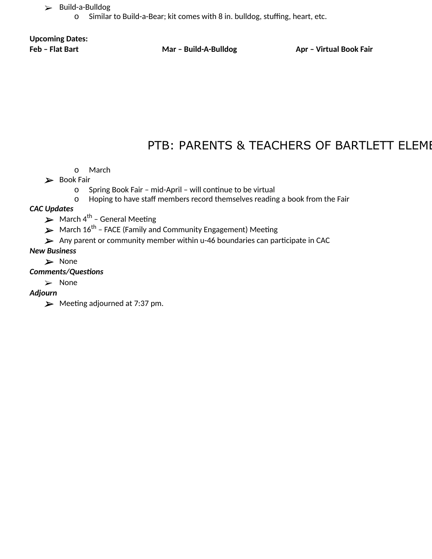- ➢ Build-a-Bulldog
	- Similar to Build-a-Bear; kit comes with 8 in. bulldog, stuffing, heart, etc.

# **Upcoming Dates:**

**Feb – Flat Bart Mar – Build-A-Bulldog Apr – Virtual Book Fair**

### PTB: PARENTS & TEACHERS OF BARTLETT ELEME

- o March
- ➢ Book Fair
	- o Spring Book Fair mid-April will continue to be virtual
	- o Hoping to have staff members record themselves reading a book from the Fair

#### *CAC Updates*

- $\blacktriangleright$  March 4<sup>th</sup> General Meeting
- $\blacktriangleright$  March 16<sup>th</sup> FACE (Family and Community Engagement) Meeting
- $\blacktriangleright$  Any parent or community member within u-46 boundaries can participate in CAC

#### *New Business*

➢ None

#### **Comments/Questions**

➢ None

#### *Adjourn*

 $\blacktriangleright$  Meeting adjourned at 7:37 pm.